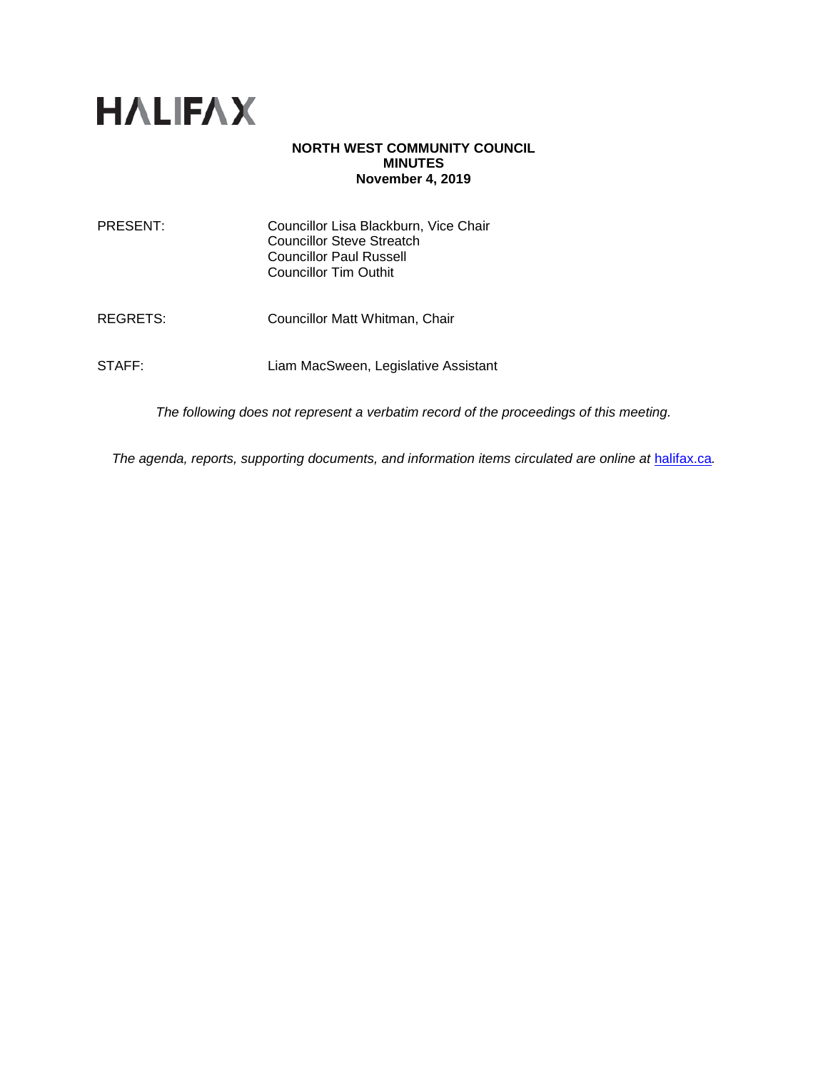

#### **NORTH WEST COMMUNITY COUNCIL MINUTES November 4, 2019**

| PRESENT: | Councillor Lisa Blackburn, Vice Chair<br><b>Councillor Steve Streatch</b><br>Councillor Paul Russell<br>Councillor Tim Outhit |
|----------|-------------------------------------------------------------------------------------------------------------------------------|
| REGRETS: | Councillor Matt Whitman, Chair                                                                                                |
| STAFF:   | Liam MacSween, Legislative Assistant                                                                                          |

*The following does not represent a verbatim record of the proceedings of this meeting.*

The agenda, reports, supporting documents, and information items circulated are online at **[halifax.ca](http://www.halifax.ca/)**.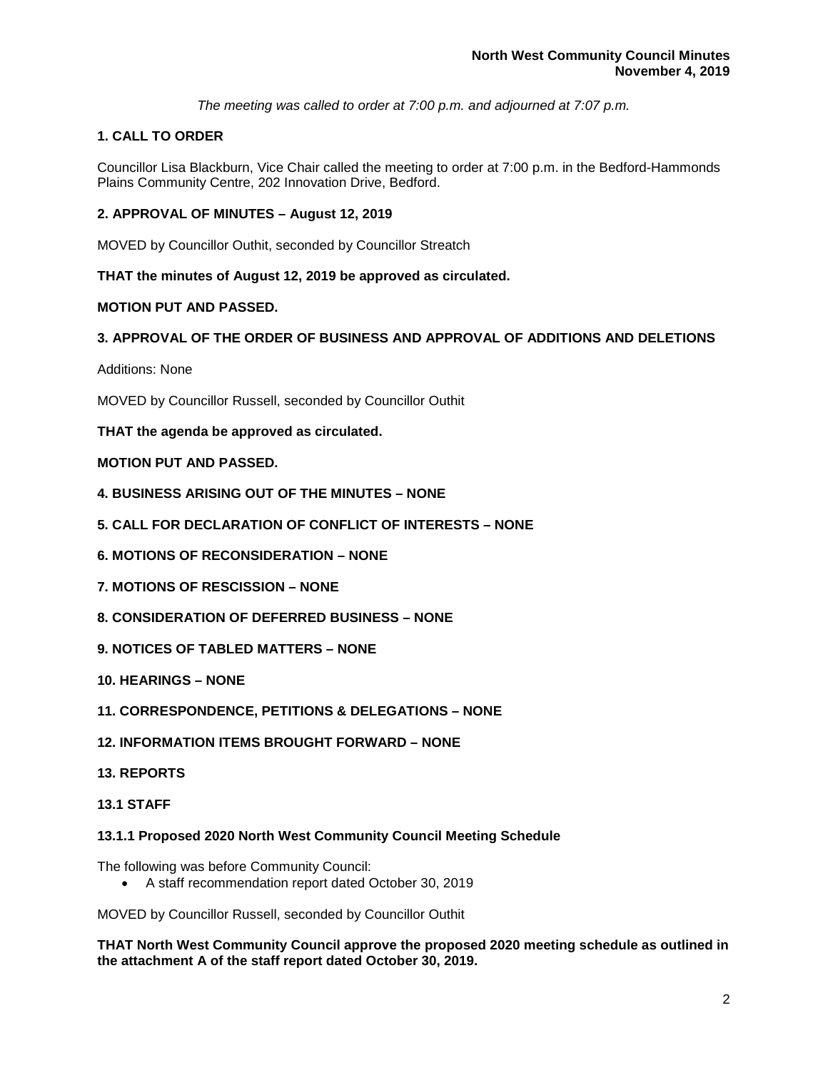*The meeting was called to order at 7:00 p.m. and adjourned at 7:07 p.m.*

# **1. CALL TO ORDER**

Councillor Lisa Blackburn, Vice Chair called the meeting to order at 7:00 p.m. in the Bedford-Hammonds Plains Community Centre, 202 Innovation Drive, Bedford.

## **2. APPROVAL OF MINUTES – August 12, 2019**

MOVED by Councillor Outhit, seconded by Councillor Streatch

**THAT the minutes of August 12, 2019 be approved as circulated.**

## **MOTION PUT AND PASSED.**

## **3. APPROVAL OF THE ORDER OF BUSINESS AND APPROVAL OF ADDITIONS AND DELETIONS**

Additions: None

MOVED by Councillor Russell, seconded by Councillor Outhit

## **THAT the agenda be approved as circulated.**

## **MOTION PUT AND PASSED.**

- **4. BUSINESS ARISING OUT OF THE MINUTES – NONE**
- **5. CALL FOR DECLARATION OF CONFLICT OF INTERESTS – NONE**
- **6. MOTIONS OF RECONSIDERATION – NONE**
- **7. MOTIONS OF RESCISSION – NONE**
- **8. CONSIDERATION OF DEFERRED BUSINESS – NONE**
- **9. NOTICES OF TABLED MATTERS – NONE**
- **10. HEARINGS – NONE**
- **11. CORRESPONDENCE, PETITIONS & DELEGATIONS – NONE**
- **12. INFORMATION ITEMS BROUGHT FORWARD – NONE**
- **13. REPORTS**
- **13.1 STAFF**

#### **13.1.1 Proposed 2020 North West Community Council Meeting Schedule**

The following was before Community Council:

• A staff recommendation report dated October 30, 2019

MOVED by Councillor Russell, seconded by Councillor Outhit

**THAT North West Community Council approve the proposed 2020 meeting schedule as outlined in the attachment A of the staff report dated October 30, 2019.**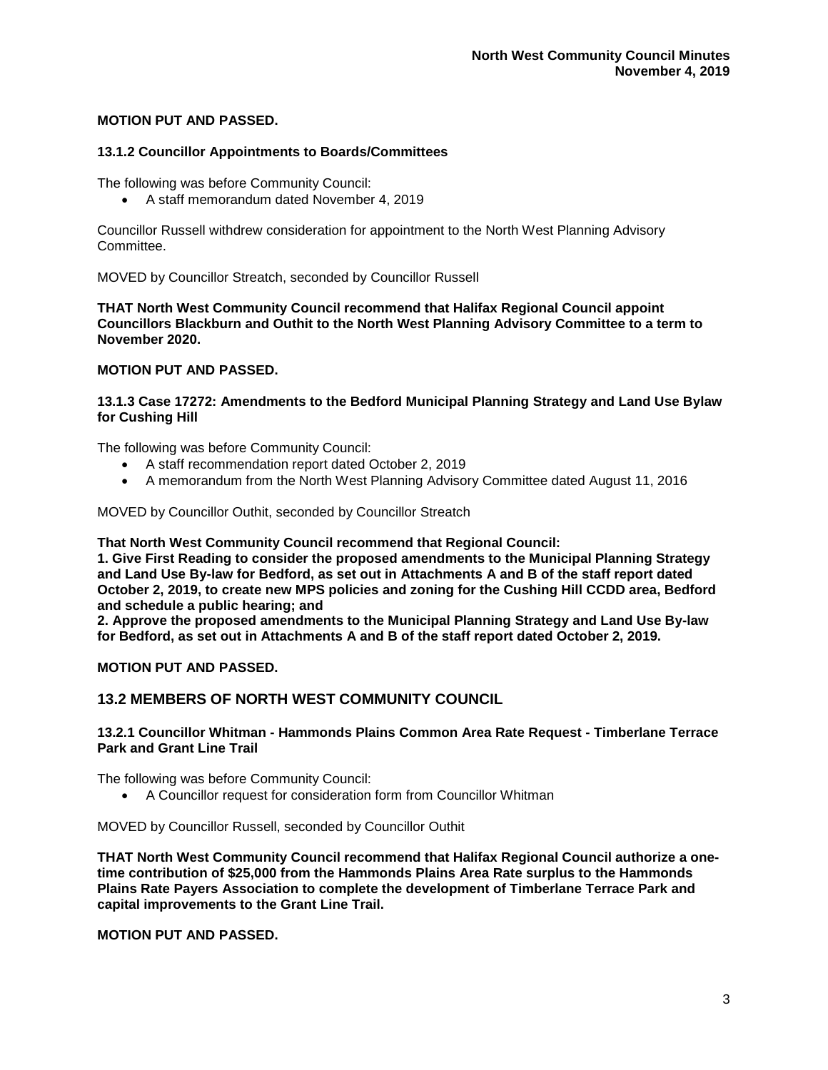### **MOTION PUT AND PASSED.**

#### **13.1.2 Councillor Appointments to Boards/Committees**

The following was before Community Council:

• A staff memorandum dated November 4, 2019

Councillor Russell withdrew consideration for appointment to the North West Planning Advisory Committee.

MOVED by Councillor Streatch, seconded by Councillor Russell

**THAT North West Community Council recommend that Halifax Regional Council appoint Councillors Blackburn and Outhit to the North West Planning Advisory Committee to a term to November 2020.**

#### **MOTION PUT AND PASSED.**

**13.1.3 Case 17272: Amendments to the Bedford Municipal Planning Strategy and Land Use Bylaw for Cushing Hill**

The following was before Community Council:

- A staff recommendation report dated October 2, 2019
- A memorandum from the North West Planning Advisory Committee dated August 11, 2016

MOVED by Councillor Outhit, seconded by Councillor Streatch

**That North West Community Council recommend that Regional Council:**

**1. Give First Reading to consider the proposed amendments to the Municipal Planning Strategy and Land Use By-law for Bedford, as set out in Attachments A and B of the staff report dated October 2, 2019, to create new MPS policies and zoning for the Cushing Hill CCDD area, Bedford and schedule a public hearing; and**

**2. Approve the proposed amendments to the Municipal Planning Strategy and Land Use By-law for Bedford, as set out in Attachments A and B of the staff report dated October 2, 2019.**

**MOTION PUT AND PASSED.** 

## **13.2 MEMBERS OF NORTH WEST COMMUNITY COUNCIL**

#### **13.2.1 Councillor Whitman - Hammonds Plains Common Area Rate Request - Timberlane Terrace Park and Grant Line Trail**

The following was before Community Council:

• A Councillor request for consideration form from Councillor Whitman

MOVED by Councillor Russell, seconded by Councillor Outhit

**THAT North West Community Council recommend that Halifax Regional Council authorize a onetime contribution of \$25,000 from the Hammonds Plains Area Rate surplus to the Hammonds Plains Rate Payers Association to complete the development of Timberlane Terrace Park and capital improvements to the Grant Line Trail.**

**MOTION PUT AND PASSED.**